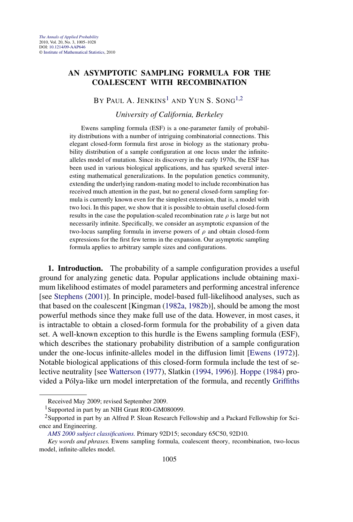## **AN ASYMPTOTIC SAMPLING FORMULA FOR THE COALESCENT WITH RECOMBINATION**

BY PAUL A. JENKINS<sup>1</sup> AND YUN S. SONG<sup>1,2</sup>

*University of California, Berkeley*

Ewens sampling formula (ESF) is a one-parameter family of probability distributions with a number of intriguing combinatorial connections. This elegant closed-form formula first arose in biology as the stationary probability distribution of a sample configuration at one locus under the infinitealleles model of mutation. Since its discovery in the early 1970s, the ESF has been used in various biological applications, and has sparked several interesting mathematical generalizations. In the population genetics community, extending the underlying random-mating model to include recombination has received much attention in the past, but no general closed-form sampling formula is currently known even for the simplest extension, that is, a model with two loci. In this paper, we show that it is possible to obtain useful closed-form results in the case the population-scaled recombination rate  $\rho$  is large but not necessarily infinite. Specifically, we consider an asymptotic expansion of the two-locus sampling formula in inverse powers of *ρ* and obtain closed-form expressions for the first few terms in the expansion. Our asymptotic sampling formula applies to arbitrary sample sizes and configurations.

**1. Introduction.** The probability of a sample configuration provides a useful ground for analyzing genetic data. Popular applications include obtaining maximum likelihood estimates of model parameters and performing ancestral inference [see [Stephens](#page-23-0) [\(2001\)](#page-23-0)]. In principle, model-based full-likelihood analyses, such as that based on the coalescent [Kingman [\(1982a,](#page-22-0) [1982b\)](#page-22-0)], should be among the most powerful methods since they make full use of the data. However, in most cases, it is intractable to obtain a closed-form formula for the probability of a given data set. A well-known exception to this hurdle is the Ewens sampling formula (ESF), which describes the stationary probability distribution of a sample configuration under the one-locus infinite-alleles model in the diffusion limit [\[Ewens](#page-22-0) [\(1972\)](#page-22-0)]. Notable biological applications of this closed-form formula include the test of selective neutrality [see [Watterson](#page-23-0) [\(1977\)](#page-23-0), Slatkin [\(1994,](#page-23-0) [1996\)](#page-23-0)]. [Hoppe](#page-22-0) [\(1984\)](#page-22-0) provided a Pólya-like urn model interpretation of the formula, and recently [Griffiths](#page-22-0)

Received May 2009; revised September 2009.

<sup>&</sup>lt;sup>1</sup>Supported in part by an NIH Grant R00-GM080099.

<sup>2</sup>Supported in part by an Alfred P. Sloan Research Fellowship and a Packard Fellowship for Science and Engineering.

*[AMS 2000 subject classifications.](http://www.ams.org/msc/)* Primary 92D15; secondary 65C50, 92D10.

*Key words and phrases.* Ewens sampling formula, coalescent theory, recombination, two-locus model, infinite-alleles model.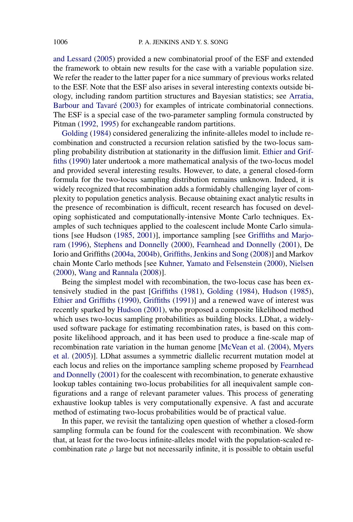[and Lessard](#page-22-0) [\(2005\)](#page-22-0) provided a new combinatorial proof of the ESF and extended the framework to obtain new results for the case with a variable population size. We refer the reader to the latter paper for a nice summary of previous works related to the ESF. Note that the ESF also arises in several interesting contexts outside biology, including random partition structures and Bayesian statistics; see [Arratia,](#page-22-0) [Barbour and Tavaré](#page-22-0) [\(2003\)](#page-22-0) for examples of intricate combinatorial connections. The ESF is a special case of the two-parameter sampling formula constructed by Pitman [\(1992,](#page-22-0) [1995\)](#page-23-0) for exchangeable random partitions.

[Golding](#page-22-0) [\(1984\)](#page-22-0) considered generalizing the infinite-alleles model to include recombination and constructed a recursion relation satisfied by the two-locus sampling probability distribution at stationarity in the diffusion limit. [Ethier and Grif](#page-22-0)[fiths](#page-22-0) [\(1990\)](#page-22-0) later undertook a more mathematical analysis of the two-locus model and provided several interesting results. However, to date, a general closed-form formula for the two-locus sampling distribution remains unknown. Indeed, it is widely recognized that recombination adds a formidably challenging layer of complexity to population genetics analysis. Because obtaining exact analytic results in the presence of recombination is difficult, recent research has focused on developing sophisticated and computationally-intensive Monte Carlo techniques. Examples of such techniques applied to the coalescent include Monte Carlo simulations [see Hudson [\(1985,](#page-22-0) [2001\)](#page-22-0)], importance sampling [see [Griffiths and Marjo](#page-22-0)[ram](#page-22-0) [\(1996\)](#page-22-0), [Stephens and Donnelly](#page-23-0) [\(2000\)](#page-23-0), [Fearnhead and Donnelly](#page-22-0) [\(2001\)](#page-22-0), De Iorio and Griffiths [\(2004a,](#page-22-0) [2004b\)](#page-22-0), [Griffiths, Jenkins and Song](#page-22-0) [\(2008\)](#page-22-0)] and Markov chain Monte Carlo methods [see [Kuhner, Yamato and Felsenstein](#page-22-0) [\(2000\)](#page-22-0), [Nielsen](#page-22-0) [\(2000\)](#page-22-0), [Wang and Rannala](#page-23-0) [\(2008\)](#page-23-0)].

Being the simplest model with recombination, the two-locus case has been extensively studied in the past [\[Griffiths](#page-22-0) [\(1981\)](#page-22-0), [Golding](#page-22-0) [\(1984\)](#page-22-0), [Hudson](#page-22-0) [\(1985\)](#page-22-0), [Ethier and Griffiths](#page-22-0) [\(1990\)](#page-22-0), [Griffiths](#page-22-0) [\(1991\)](#page-22-0)] and a renewed wave of interest was recently sparked by [Hudson](#page-22-0) [\(2001\)](#page-22-0), who proposed a composite likelihood method which uses two-locus sampling probabilities as building blocks. LDhat, a widelyused software package for estimating recombination rates, is based on this composite likelihood approach, and it has been used to produce a fine-scale map of recombination rate variation in the human genome [\[McVean et al.](#page-22-0) [\(2004\)](#page-22-0), [Myers](#page-22-0) [et al.](#page-22-0) [\(2005\)](#page-22-0)]. LDhat assumes a symmetric diallelic recurrent mutation model at each locus and relies on the importance sampling scheme proposed by [Fearnhead](#page-22-0) [and Donnelly](#page-22-0) [\(2001\)](#page-22-0) for the coalescent with recombination, to generate exhaustive lookup tables containing two-locus probabilities for all inequivalent sample configurations and a range of relevant parameter values. This process of generating exhaustive lookup tables is very computationally expensive. A fast and accurate method of estimating two-locus probabilities would be of practical value.

In this paper, we revisit the tantalizing open question of whether a closed-form sampling formula can be found for the coalescent with recombination. We show that, at least for the two-locus infinite-alleles model with the population-scaled recombination rate  $\rho$  large but not necessarily infinite, it is possible to obtain useful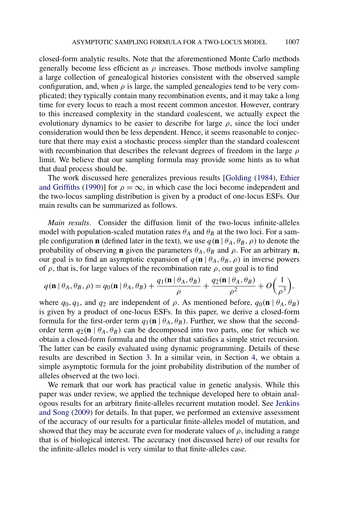closed-form analytic results. Note that the aforementioned Monte Carlo methods generally become less efficient as  $\rho$  increases. Those methods involve sampling a large collection of genealogical histories consistent with the observed sample configuration, and, when  $\rho$  is large, the sampled genealogies tend to be very complicated; they typically contain many recombination events, and it may take a long time for every locus to reach a most recent common ancestor. However, contrary to this increased complexity in the standard coalescent, we actually expect the evolutionary dynamics to be easier to describe for large  $\rho$ , since the loci under consideration would then be less dependent. Hence, it seems reasonable to conjecture that there may exist a stochastic process simpler than the standard coalescent with recombination that describes the relevant degrees of freedom in the large *ρ* limit. We believe that our sampling formula may provide some hints as to what that dual process should be.

The work discussed here generalizes previous results [\[Golding](#page-22-0) [\(1984\)](#page-22-0), [Ethier](#page-22-0) [and Griffiths](#page-22-0) [\(1990\)](#page-22-0)] for  $\rho = \infty$ , in which case the loci become independent and the two-locus sampling distribution is given by a product of one-locus ESFs. Our main results can be summarized as follows.

*Main results*. Consider the diffusion limit of the two-locus infinite-alleles model with population-scaled mutation rates  $\theta_A$  and  $\theta_B$  at the two loci. For a sample configuration **n** (defined later in the text), we use  $q(\mathbf{n} | \theta_A, \theta_B, \rho)$  to denote the probability of observing **n** given the parameters  $\theta_A$ ,  $\theta_B$  and  $\rho$ . For an arbitrary **n**, our goal is to find an asymptotic expansion of  $q(\mathbf{n} | \theta_A, \theta_B, \rho)$  in inverse powers of  $\rho$ , that is, for large values of the recombination rate  $\rho$ , our goal is to find

$$
q(\mathbf{n} | \theta_A, \theta_B, \rho) = q_0(\mathbf{n} | \theta_A, \theta_B) + \frac{q_1(\mathbf{n} | \theta_A, \theta_B)}{\rho} + \frac{q_2(\mathbf{n} | \theta_A, \theta_B)}{\rho^2} + O\left(\frac{1}{\rho^3}\right),
$$

where  $q_0, q_1$ , and  $q_2$  are independent of  $\rho$ . As mentioned before,  $q_0(\mathbf{n} | \theta_A, \theta_B)$ is given by a product of one-locus ESFs. In this paper, we derive a closed-form formula for the first-order term  $q_1(\mathbf{n} \mid \theta_A, \theta_B)$ . Further, we show that the secondorder term  $q_2$ (**n** |  $\theta_A$ ,  $\theta_B$ ) can be decomposed into two parts, one for which we obtain a closed-form formula and the other that satisfies a simple strict recursion. The latter can be easily evaluated using dynamic programming. Details of these results are described in Section [3.](#page-6-0) In a similar vein, in Section [4,](#page-9-0) we obtain a simple asymptotic formula for the joint probability distribution of the number of alleles observed at the two loci.

We remark that our work has practical value in genetic analysis. While this paper was under review, we applied the technique developed here to obtain analogous results for an arbitrary finite-alleles recurrent mutation model. See [Jenkins](#page-22-0) [and Song](#page-22-0) [\(2009\)](#page-22-0) for details. In that paper, we performed an extensive assessment of the accuracy of our results for a particular finite-alleles model of mutation, and showed that they may be accurate even for moderate values of  $\rho$ , including a range that is of biological interest. The accuracy (not discussed here) of our results for the infinite-alleles model is very similar to that finite-alleles case.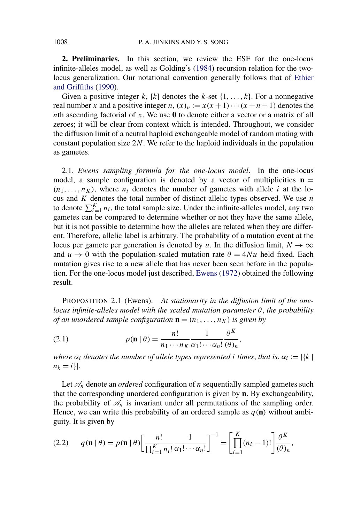<span id="page-3-0"></span>**2. Preliminaries.** In this section, we review the ESF for the one-locus infinite-alleles model, as well as Golding's [\(1984\)](#page-22-0) recursion relation for the twolocus generalization. Our notational convention generally follows that of [Ethier](#page-22-0) [and Griffiths](#page-22-0) [\(1990\)](#page-22-0).

Given a positive integer  $k$ ,  $[k]$  denotes the  $k$ -set  $\{1, \ldots, k\}$ . For a nonnegative real number *x* and a positive integer *n*,  $(x)_n := x(x+1)\cdots(x+n-1)$  denotes the *n*th ascending factorial of *x*. We use **0** to denote either a vector or a matrix of all zeroes; it will be clear from context which is intended. Throughout, we consider the diffusion limit of a neutral haploid exchangeable model of random mating with constant population size 2*N*. We refer to the haploid individuals in the population as gametes.

2.1. *Ewens sampling formula for the one-locus model*. In the one-locus model, a sample configuration is denoted by a vector of multiplicities  $\mathbf{n} =$  $(n_1, \ldots, n_K)$ , where  $n_i$  denotes the number of gametes with allele *i* at the locus and *K* denotes the total number of distinct allelic types observed. We use *n* to denote  $\sum_{i=1}^{K} n_i$ , the total sample size. Under the infinite-alleles model, any two gametes can be compared to determine whether or not they have the same allele, but it is not possible to determine how the alleles are related when they are different. Therefore, allelic label is arbitrary. The probability of a mutation event at the locus per gamete per generation is denoted by *u*. In the diffusion limit,  $N \to \infty$ and  $u \rightarrow 0$  with the population-scaled mutation rate  $\theta = 4Nu$  held fixed. Each mutation gives rise to a new allele that has never been seen before in the population. For the one-locus model just described, [Ewens](#page-22-0) [\(1972\)](#page-22-0) obtained the following result.

PROPOSITION 2.1 (Ewens). *At stationarity in the diffusion limit of the onelocus infinite-alleles model with the scaled mutation parameter θ*, *the probability of an unordered sample configuration*  $\mathbf{n} = (n_1, \ldots, n_K)$  *is given by* 

(2.1) 
$$
p(\mathbf{n} | \theta) = \frac{n!}{n_1 \cdots n_K} \frac{1}{\alpha_1! \cdots \alpha_n!} \frac{\theta^K}{(\theta)_n},
$$

*where*  $\alpha_i$  *denotes the number of allele types represented <i>i times, that is,*  $\alpha_i := |\{k|$  $n_k = i$ .

Let  $\mathcal{A}_n$  denote an *ordered* configuration of *n* sequentially sampled gametes such that the corresponding unordered configuration is given by **n**. By exchangeability, the probability of  $\mathcal{A}_n$  is invariant under all permutations of the sampling order. Hence, we can write this probability of an ordered sample as  $q(\mathbf{n})$  without ambiguity. It is given by

$$
(2.2) \qquad q(\mathbf{n} \mid \theta) = p(\mathbf{n} \mid \theta) \left[ \frac{n!}{\prod_{i=1}^{K} n_i!} \frac{1}{\alpha_1! \cdots \alpha_n!} \right]^{-1} = \left[ \prod_{i=1}^{K} (n_i - 1)! \right] \frac{\theta^K}{(\theta)_n},
$$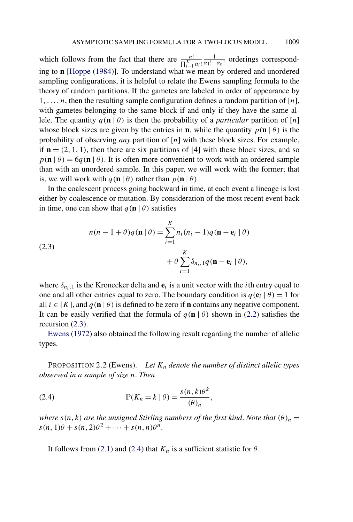<span id="page-4-0"></span>which follows from the fact that there are  $\frac{n!}{\prod_{i=1}^{K} n_i!} \frac{1}{\alpha_1! \cdots \alpha_n!}$  orderings corresponding to **n** [\[Hoppe](#page-22-0) [\(1984\)](#page-22-0)]. To understand what we mean by ordered and unordered sampling configurations, it is helpful to relate the Ewens sampling formula to the theory of random partitions. If the gametes are labeled in order of appearance by 1*,...,n*, then the resulting sample configuration defines a random partition of [*n*], with gametes belonging to the same block if and only if they have the same allele. The quantity  $q(\mathbf{n} | \theta)$  is then the probability of a *particular* partition of [*n*] whose block sizes are given by the entries in **n**, while the quantity  $p(\mathbf{n} | \theta)$  is the probability of observing *any* partition of [*n*] with these block sizes. For example, if  $\mathbf{n} = (2, 1, 1)$ , then there are six partitions of [4] with these block sizes, and so  $p(\mathbf{n} \mid \theta) = 6q(\mathbf{n} \mid \theta)$ . It is often more convenient to work with an ordered sample than with an unordered sample. In this paper, we will work with the former; that is, we will work with  $q(\mathbf{n} | \theta)$  rather than  $p(\mathbf{n} | \theta)$ .

In the coalescent process going backward in time, at each event a lineage is lost either by coalescence or mutation. By consideration of the most recent event back in time, one can show that  $q(\mathbf{n} | \theta)$  satisfies

(2.3)  

$$
n(n-1+\theta)q(\mathbf{n}|\theta) = \sum_{i=1}^{K} n_i(n_i-1)q(\mathbf{n}-\mathbf{e}_i|\theta)
$$

$$
+\theta \sum_{i=1}^{K} \delta_{n_i,1}q(\mathbf{n}-\mathbf{e}_i|\theta),
$$

where  $\delta_{n_i,1}$  is the Kronecker delta and  $e_i$  is a unit vector with the *i*th entry equal to one and all other entries equal to zero. The boundary condition is  $q(\mathbf{e}_i | \theta) = 1$  for all  $i \in [K]$ , and  $q(\mathbf{n} | \theta)$  is defined to be zero if **n** contains any negative component. It can be easily verified that the formula of  $q(\mathbf{n} | \theta)$  shown in [\(2.2\)](#page-3-0) satisfies the recursion (2.3).

[Ewens](#page-22-0) [\(1972\)](#page-22-0) also obtained the following result regarding the number of allelic types.

PROPOSITION 2.2 (Ewens). Let  $K_n$  denote the number of distinct allelic types *observed in a sample of size n*. *Then*

(2.4) 
$$
\mathbb{P}(K_n = k \mid \theta) = \frac{s(n, k)\theta^k}{(\theta)_n},
$$

*where*  $s(n, k)$  *are the unsigned Stirling numbers of the first kind. Note that*  $(\theta)_n =$  $s(n, 1)\theta + s(n, 2)\theta^2 + \cdots + s(n, n)\theta^n$ .

It follows from [\(2.1\)](#page-3-0) and (2.4) that  $K_n$  is a sufficient statistic for  $\theta$ .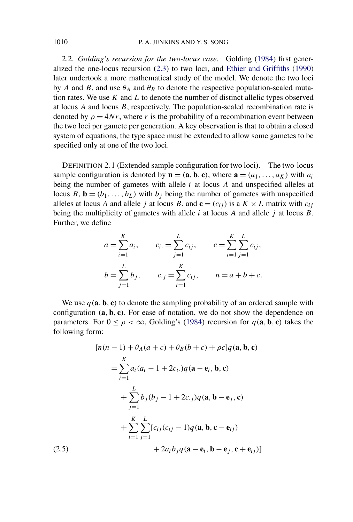2.2. *Golding's recursion for the two-locus case*. Golding [\(1984\)](#page-22-0) first generalized the one-locus recursion [\(2.3\)](#page-4-0) to two loci, and [Ethier and Griffiths](#page-22-0) [\(1990\)](#page-22-0) later undertook a more mathematical study of the model. We denote the two loci by *A* and *B*, and use  $\theta_A$  and  $\theta_B$  to denote the respective population-scaled mutation rates. We use *K* and *L* to denote the number of distinct allelic types observed at locus *A* and locus *B*, respectively. The population-scaled recombination rate is denoted by  $\rho = 4Nr$ , where *r* is the probability of a recombination event between the two loci per gamete per generation. A key observation is that to obtain a closed system of equations, the type space must be extended to allow some gametes to be specified only at one of the two loci.

DEFINITION 2.1 (Extended sample configuration for two loci). The two-locus sample configuration is denoted by  $\mathbf{n} = (\mathbf{a}, \mathbf{b}, \mathbf{c})$ , where  $\mathbf{a} = (a_1, \dots, a_K)$  with  $a_i$ being the number of gametes with allele *i* at locus *A* and unspecified alleles at locus *B*, **b** =  $(b_1, \ldots, b_L)$  with  $b_j$  being the number of gametes with unspecified alleles at locus *A* and allele *j* at locus *B*, and  $\mathbf{c} = (c_{ij})$  is a  $K \times L$  matrix with  $c_{ij}$ being the multiplicity of gametes with allele *i* at locus *A* and allele *j* at locus *B*. Further, we define

$$
a = \sum_{i=1}^{K} a_i, \qquad c_i = \sum_{j=1}^{L} c_{ij}, \qquad c = \sum_{i=1}^{K} \sum_{j=1}^{L} c_{ij},
$$
  

$$
b = \sum_{j=1}^{L} b_j, \qquad c_{\cdot j} = \sum_{i=1}^{K} c_{ij}, \qquad n = a + b + c.
$$

We use  $q(\mathbf{a}, \mathbf{b}, \mathbf{c})$  to denote the sampling probability of an ordered sample with configuration *(***a***,* **b***,* **c***)*. For ease of notation, we do not show the dependence on parameters. For  $0 \le \rho < \infty$ , Golding's [\(1984\)](#page-22-0) recursion for  $q(\mathbf{a}, \mathbf{b}, \mathbf{c})$  takes the following form:

$$
[n(n-1) + \theta_A(a+c) + \theta_B(b+c) + \rho c]q(\mathbf{a}, \mathbf{b}, \mathbf{c})
$$
  
\n
$$
= \sum_{i=1}^{K} a_i (a_i - 1 + 2c_i) q(\mathbf{a} - \mathbf{e}_i, \mathbf{b}, \mathbf{c})
$$
  
\n
$$
+ \sum_{j=1}^{L} b_j (b_j - 1 + 2c_j) q(\mathbf{a}, \mathbf{b} - \mathbf{e}_j, \mathbf{c})
$$
  
\n
$$
+ \sum_{i=1}^{K} \sum_{j=1}^{L} [c_{ij} (c_{ij} - 1) q(\mathbf{a}, \mathbf{b}, \mathbf{c} - \mathbf{e}_{ij})
$$
  
\n(2.5) 
$$
+ 2a_i b_j q(\mathbf{a} - \mathbf{e}_i, \mathbf{b} - \mathbf{e}_j, \mathbf{c} + \mathbf{e}_{ij})]
$$

<span id="page-5-0"></span>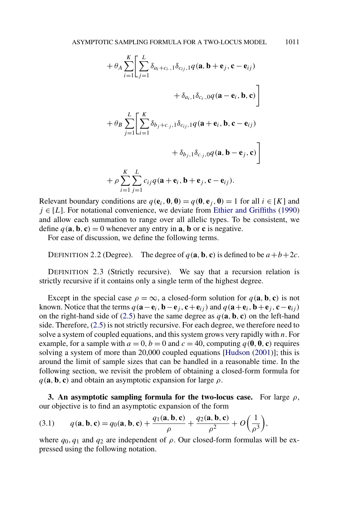<span id="page-6-0"></span>
$$
+ \theta_A \sum_{i=1}^{K} \left[ \sum_{j=1}^{L} \delta_{a_i+c_{i,1}} \delta_{c_{ij,1}} q(\mathbf{a}, \mathbf{b} + \mathbf{e}_j, \mathbf{c} - \mathbf{e}_{ij})
$$
  
+  $\delta_{a_i,1} \delta_{c_i,0} q(\mathbf{a} - \mathbf{e}_i, \mathbf{b}, \mathbf{c}) \right]$   
+  $\theta_B \sum_{j=1}^{L} \left[ \sum_{i=1}^{K} \delta_{b_j+c_{j,1}} \delta_{c_{ij,1}} q(\mathbf{a} + \mathbf{e}_i, \mathbf{b}, \mathbf{c} - \mathbf{e}_{ij})$   
+  $\delta_{b_j,1} \delta_{c,j,0} q(\mathbf{a}, \mathbf{b} - \mathbf{e}_j, \mathbf{c}) \right]$   
+  $\rho \sum_{i=1}^{K} \sum_{j=1}^{L} c_{ij} q(\mathbf{a} + \mathbf{e}_i, \mathbf{b} + \mathbf{e}_j, \mathbf{c} - \mathbf{e}_{ij}).$ 

Relevant boundary conditions are  $q(\mathbf{e}_i, \mathbf{0}, \mathbf{0}) = q(\mathbf{0}, \mathbf{e}_i, \mathbf{0}) = 1$  for all  $i \in [K]$  and  $j \in [L]$ . For notational convenience, we deviate from [Ethier and Griffiths](#page-22-0) [\(1990\)](#page-22-0) and allow each summation to range over all allelic types. To be consistent, we define  $q(\mathbf{a}, \mathbf{b}, \mathbf{c}) = 0$  whenever any entry in **a**, **b** or **c** is negative.

For ease of discussion, we define the following terms.

DEFINITION 2.2 (Degree). The degree of  $q(\mathbf{a}, \mathbf{b}, \mathbf{c})$  is defined to be  $a+b+2c$ .

DEFINITION 2.3 (Strictly recursive). We say that a recursion relation is strictly recursive if it contains only a single term of the highest degree.

Except in the special case  $\rho = \infty$ , a closed-form solution for  $q(\mathbf{a}, \mathbf{b}, \mathbf{c})$  is not known. Notice that the terms  $q(\mathbf{a}-\mathbf{e}_i,\mathbf{b}-\mathbf{e}_i,\mathbf{c}+\mathbf{e}_{ii})$  and  $q(\mathbf{a}+\mathbf{e}_i,\mathbf{b}+\mathbf{e}_i,\mathbf{c}-\mathbf{e}_{ii})$ on the right-hand side of [\(2.5\)](#page-5-0) have the same degree as  $q(\mathbf{a}, \mathbf{b}, \mathbf{c})$  on the left-hand side. Therefore, [\(2.5\)](#page-5-0) is not strictly recursive. For each degree, we therefore need to solve a system of coupled equations, and this system grows very rapidly with *n*. For example, for a sample with  $a = 0, b = 0$  and  $c = 40$ , computing  $q(0, 0, c)$  requires solving a system of more than 20,000 coupled equations [\[Hudson](#page-22-0) [\(2001\)](#page-22-0)]; this is around the limit of sample sizes that can be handled in a reasonable time. In the following section, we revisit the problem of obtaining a closed-form formula for  $q$ (**a**, **b**, **c**) and obtain an asymptotic expansion for large  $\rho$ .

**3. An asymptotic sampling formula for the two-locus case.** For large *ρ*, our objective is to find an asymptotic expansion of the form

(3.1) 
$$
q(\mathbf{a}, \mathbf{b}, \mathbf{c}) = q_0(\mathbf{a}, \mathbf{b}, \mathbf{c}) + \frac{q_1(\mathbf{a}, \mathbf{b}, \mathbf{c})}{\rho} + \frac{q_2(\mathbf{a}, \mathbf{b}, \mathbf{c})}{\rho^2} + O\left(\frac{1}{\rho^3}\right),
$$

where  $q_0, q_1$  and  $q_2$  are independent of  $\rho$ . Our closed-form formulas will be expressed using the following notation.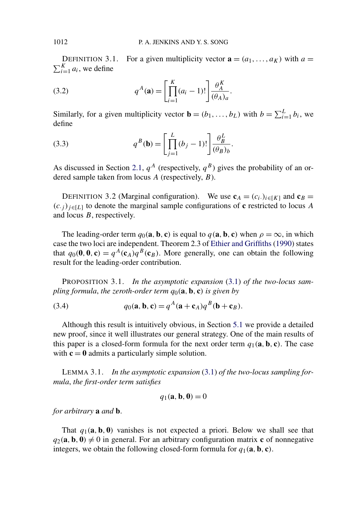DEFINITION 3.1. For a given multiplicity vector  $\mathbf{a} = (a_1, \ldots, a_k)$  with  $a =$  $\sum_{i=1}^{K} a_i$ , we define

(3.2) 
$$
q^{A}(\mathbf{a}) = \left[\prod_{i=1}^{K} (a_i - 1)!\right] \frac{\theta_A^{K}}{(\theta_A)_a}.
$$

Similarly, for a given multiplicity vector  $\mathbf{b} = (b_1, \ldots, b_L)$  with  $b = \sum_{i=1}^{L} b_i$ , we define

(3.3) 
$$
q^{B}(\mathbf{b}) = \left[\prod_{j=1}^{L} (b_j - 1)!\right] \frac{\theta_B^L}{(\theta_B)_b}.
$$

As discussed in Section [2.1,](#page-3-0)  $q^A$  (respectively,  $q^B$ ) gives the probability of an ordered sample taken from locus *A* (respectively, *B*).

DEFINITION 3.2 (Marginal configuration). We use  $\mathbf{c}_A = (c_i)_{i \in [K]}$  and  $\mathbf{c}_B =$  $(c, j)$ <sub>*i*∈[*L*]</sub> to denote the marginal sample configurations of **c** restricted to locus *A* and locus *B*, respectively.

The leading-order term  $q_0$ (**a**, **b**, **c**) is equal to  $q$ (**a**, **b**, **c**) when  $\rho = \infty$ , in which case the two loci are independent. Theorem 2.3 of [Ethier and Griffiths](#page-22-0) [\(1990\)](#page-22-0) states that  $q_0(\mathbf{0}, \mathbf{0}, \mathbf{c}) = q^A(\mathbf{c}_A)q^B(\mathbf{c}_B)$ . More generally, one can obtain the following result for the leading-order contribution.

PROPOSITION 3.1. *In the asymptotic expansion* [\(3.1\)](#page-6-0) *of the two-locus sampling formula*, *the zeroth-order term q*0*(***a***,* **b***,* **c***) is given by*

(3.4) 
$$
q_0(\mathbf{a}, \mathbf{b}, \mathbf{c}) = q^A(\mathbf{a} + \mathbf{c}_A)q^B(\mathbf{b} + \mathbf{c}_B).
$$

Although this result is intuitively obvious, in Section [5.1](#page-11-0) we provide a detailed new proof, since it well illustrates our general strategy. One of the main results of this paper is a closed-form formula for the next order term  $q_1$  (a, b, c). The case with  $c = 0$  admits a particularly simple solution.

LEMMA 3.1. *In the asymptotic expansion* [\(3.1\)](#page-6-0) *of the two-locus sampling formula*, *the first-order term satisfies*

$$
q_1(\mathbf{a}, \mathbf{b}, \mathbf{0}) = 0
$$

*for arbitrary* **a** *and* **b**.

That  $q_1(\mathbf{a}, \mathbf{b}, \mathbf{0})$  vanishes is not expected a priori. Below we shall see that  $q_2(\mathbf{a}, \mathbf{b}, \mathbf{0}) \neq 0$  in general. For an arbitrary configuration matrix **c** of nonnegative integers, we obtain the following closed-form formula for  $q_1(\mathbf{a}, \mathbf{b}, \mathbf{c})$ .

<span id="page-7-0"></span>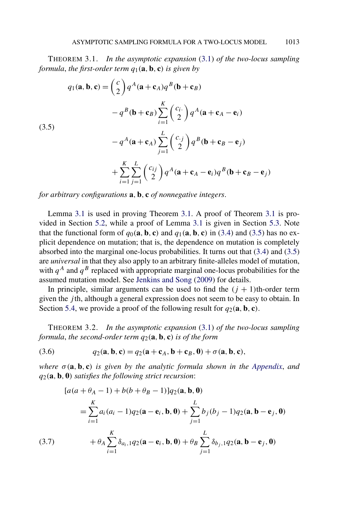<span id="page-8-0"></span>THEOREM 3.1. *In the asymptotic expansion* [\(3.1\)](#page-6-0) *of the two-locus sampling formula*, *the first-order term q*1*(***a***,* **b***,* **c***) is given by*

(5)  
\n
$$
q_1(\mathbf{a}, \mathbf{b}, \mathbf{c}) = \binom{c}{2} q^A (\mathbf{a} + \mathbf{c}_A) q^B (\mathbf{b} + \mathbf{c}_B)
$$
\n
$$
-q^B (\mathbf{b} + \mathbf{c}_B) \sum_{i=1}^K \binom{c_i}{2} q^A (\mathbf{a} + \mathbf{c}_A - \mathbf{e}_i)
$$
\n
$$
-q^A (\mathbf{a} + \mathbf{c}_A) \sum_{j=1}^L \binom{c_j}{2} q^B (\mathbf{b} + \mathbf{c}_B - \mathbf{e}_j)
$$
\n
$$
+ \sum_{i=1}^K \sum_{j=1}^L \binom{c_{ij}}{2} q^A (\mathbf{a} + \mathbf{c}_A - \mathbf{e}_i) q^B (\mathbf{b} + \mathbf{c}_B - \mathbf{e}_j)
$$

*for arbitrary configurations* **a***,* **b***,* **c** *of nonnegative integers*.

 $(3)$ 

Lemma [3.1](#page-7-0) is used in proving Theorem 3.1. A proof of Theorem 3.1 is provided in Section [5.2,](#page-12-0) while a proof of Lemma [3.1](#page-7-0) is given in Section [5.3.](#page-15-0) Note that the functional form of  $q_0(\mathbf{a}, \mathbf{b}, \mathbf{c})$  and  $q_1(\mathbf{a}, \mathbf{b}, \mathbf{c})$  in [\(3.4\)](#page-7-0) and (3.5) has no explicit dependence on mutation; that is, the dependence on mutation is completely absorbed into the marginal one-locus probabilities. It turns out that [\(3.4\)](#page-7-0) and (3.5) are *universal* in that they also apply to an arbitrary finite-alleles model of mutation, with  $q^A$  and  $q^B$  replaced with appropriate marginal one-locus probabilities for the assumed mutation model. See [Jenkins and Song](#page-22-0) [\(2009\)](#page-22-0) for details.

In principle, similar arguments can be used to find the  $(j + 1)$ th-order term given the *j* th, although a general expression does not seem to be easy to obtain. In Section [5.4,](#page-16-0) we provide a proof of the following result for  $q_2(\mathbf{a}, \mathbf{b}, \mathbf{c})$ .

THEOREM 3.2. *In the asymptotic expansion* [\(3.1\)](#page-6-0) *of the two-locus sampling formula, the second-order term*  $q_2$  (a, b, c) *is of the form* 

(3.6) 
$$
q_2(\mathbf{a}, \mathbf{b}, \mathbf{c}) = q_2(\mathbf{a} + \mathbf{c}_A, \mathbf{b} + \mathbf{c}_B, \mathbf{0}) + \sigma(\mathbf{a}, \mathbf{b}, \mathbf{c}),
$$

*where*  $\sigma(\mathbf{a}, \mathbf{b}, \mathbf{c})$  *is given by the analytic formula shown in the [Appendix](#page-20-0), and q*2*(***a***,* **b***,* **0***) satisfies the following strict recursion*:

$$
[a(a + \theta_{A} - 1) + b(b + \theta_{B} - 1)]q_{2}(\mathbf{a}, \mathbf{b}, \mathbf{0})
$$
\n
$$
= \sum_{i=1}^{K} a_{i}(a_{i} - 1)q_{2}(\mathbf{a} - \mathbf{e}_{i}, \mathbf{b}, \mathbf{0}) + \sum_{j=1}^{L} b_{j}(b_{j} - 1)q_{2}(\mathbf{a}, \mathbf{b} - \mathbf{e}_{j}, \mathbf{0})
$$
\n(3.7)\n
$$
+ \theta_{A} \sum_{i=1}^{K} \delta_{a_{i}, 1} q_{2}(\mathbf{a} - \mathbf{e}_{i}, \mathbf{b}, \mathbf{0}) + \theta_{B} \sum_{j=1}^{L} \delta_{b_{j}, 1} q_{2}(\mathbf{a}, \mathbf{b} - \mathbf{e}_{j}, \mathbf{0})
$$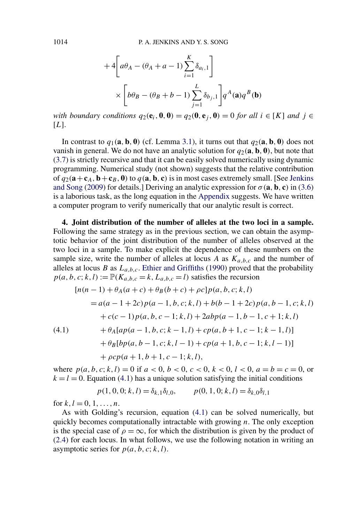$$
+4\left[a\theta_A - (\theta_A + a - 1)\sum_{i=1}^K \delta_{a_i,1}\right] \times \left[b\theta_B - (\theta_B + b - 1)\sum_{j=1}^L \delta_{b_j,1}\right] q^A(\mathbf{a}) q^B(\mathbf{b})
$$

with boundary conditions  $q_2(e_i, 0, 0) = q_2(0, e_i, 0) = 0$  for all  $i \in [K]$  and  $j \in$  $[L]$ .

In contrast to  $q_1(\mathbf{a}, \mathbf{b}, \mathbf{0})$  (cf. Lemma [3.1\)](#page-7-0), it turns out that  $q_2(\mathbf{a}, \mathbf{b}, \mathbf{0})$  does not vanish in general. We do not have an analytic solution for  $q_2(\mathbf{a}, \mathbf{b}, \mathbf{0})$ , but note that [\(3.7\)](#page-8-0) is strictly recursive and that it can be easily solved numerically using dynamic programming. Numerical study (not shown) suggests that the relative contribution of  $q_2(\mathbf{a}+\mathbf{c}_A, \mathbf{b}+\mathbf{c}_B, \mathbf{0})$  to  $q(\mathbf{a}, \mathbf{b}, \mathbf{c})$  is in most cases extremely small. [See [Jenkins](#page-22-0)] [and Song](#page-22-0) [\(2009\)](#page-22-0) for details.] Deriving an analytic expression for  $\sigma(\mathbf{a}, \mathbf{b}, \mathbf{c})$  in [\(3.6\)](#page-8-0) is a laborious task, as the long equation in the [Appendix](#page-20-0) suggests. We have written a computer program to verify numerically that our analytic result is correct.

**4. Joint distribution of the number of alleles at the two loci in a sample.** Following the same strategy as in the previous section, we can obtain the asymptotic behavior of the joint distribution of the number of alleles observed at the two loci in a sample. To make explicit the dependence of these numbers on the sample size, write the number of alleles at locus *A* as  $K_{a,b,c}$  and the number of alleles at locus *B* as  $L_{a,b,c}$ . [Ethier and Griffiths](#page-22-0) [\(1990\)](#page-22-0) proved that the probability  $p(a, b, c; k, l) := \mathbb{P}(K_{a,b,c} = k, L_{a,b,c} = l)$  satisfies the recursion

$$
[n(n-1) + \theta_A(a+c) + \theta_B(b+c) + \rho c]p(a, b, c; k, l)
$$
  
=  $a(a-1+2c)p(a-1, b, c; k, l) + b(b-1+2c)p(a, b-1, c; k, l)$   
+  $c(c-1)p(a, b, c-1; k, l) + 2abp(a-1, b-1, c+1; k, l)$   
(4.1)  $+ \theta_A[a p(a-1, b, c; k-1, l) + cp(a, b+1, c-1; k-1, l)]$   
+  $\theta_B[b p(a, b-1, c; k, l-1) + cp(a+1, b, c-1; k, l-1)]$   
+  $\rho c p(a+1, b+1, c-1; k, l)$ ,

where  $p(a, b, c; k, l) = 0$  if  $a < 0, b < 0, c < 0, k < 0, l < 0, a = b = c = 0$ , or  $k = l = 0$ . Equation (4.1) has a unique solution satisfying the initial conditions

$$
p(1, 0, 0; k, l) = \delta_{k,1}\delta_{l,0},
$$
  $p(0, 1, 0; k, l) = \delta_{k,0}\delta_{l,1}$ 

for  $k, l = 0, 1, ..., n$ .

As with Golding's recursion, equation (4.1) can be solved numerically, but quickly becomes computationally intractable with growing *n*. The only exception is the special case of  $\rho = \infty$ , for which the distribution is given by the product of [\(2.4\)](#page-4-0) for each locus. In what follows, we use the following notation in writing an asymptotic series for  $p(a, b, c; k, l)$ .

<span id="page-9-0"></span>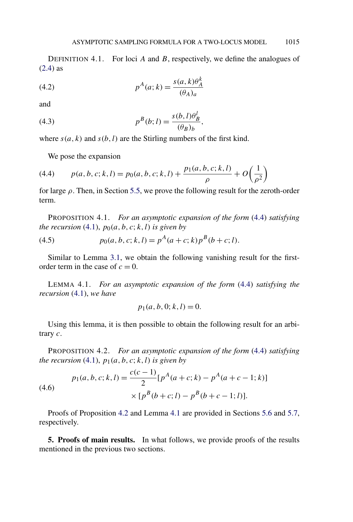<span id="page-10-0"></span>DEFINITION 4.1. For loci *A* and *B*, respectively, we define the analogues of [\(2.4\)](#page-4-0) as

(4.2) 
$$
p^{A}(a; k) = \frac{s(a, k)\theta^{k}_{A}}{(\theta_{A})_{a}}
$$

and

(4.3) 
$$
p^{B}(b; l) = \frac{s(b, l)\theta_B^l}{(\theta_B)_b},
$$

where  $s(a, k)$  and  $s(b, l)$  are the Stirling numbers of the first kind.

We pose the expansion

(4.4) 
$$
p(a, b, c; k, l) = p_0(a, b, c; k, l) + \frac{p_1(a, b, c; k, l)}{\rho} + O\left(\frac{1}{\rho^2}\right)
$$

for large *ρ*. Then, in Section [5.5,](#page-18-0) we prove the following result for the zeroth-order term.

PROPOSITION 4.1. *For an asymptotic expansion of the form* (4.4) *satisfying the recursion* [\(4.1\)](#page-9-0),  $p_0(a, b, c; k, l)$  *is given by* 

(4.5) 
$$
p_0(a, b, c; k, l) = p^A(a + c; k) p^B(b + c; l).
$$

Similar to Lemma [3.1,](#page-7-0) we obtain the following vanishing result for the firstorder term in the case of  $c = 0$ .

LEMMA 4.1. *For an asymptotic expansion of the form* (4.4) *satisfying the recursion* [\(4.1\)](#page-9-0), *we have*

$$
p_1(a, b, 0; k, l) = 0.
$$

Using this lemma, it is then possible to obtain the following result for an arbitrary *c*.

PROPOSITION 4.2. *For an asymptotic expansion of the form* (4.4) *satisfying the recursion* [\(4.1\)](#page-9-0),  $p_1(a, b, c; k, l)$  *is given by* 

(4.6)  

$$
p_1(a, b, c; k, l) = \frac{c(c - 1)}{2} [p^A(a + c; k) - p^A(a + c - 1; k)]
$$

$$
\times [p^B(b + c; l) - p^B(b + c - 1; l)].
$$

Proofs of Proposition 4.2 and Lemma 4.1 are provided in Sections [5.6](#page-19-0) and [5.7,](#page-19-0) respectively.

**5. Proofs of main results.** In what follows, we provide proofs of the results mentioned in the previous two sections.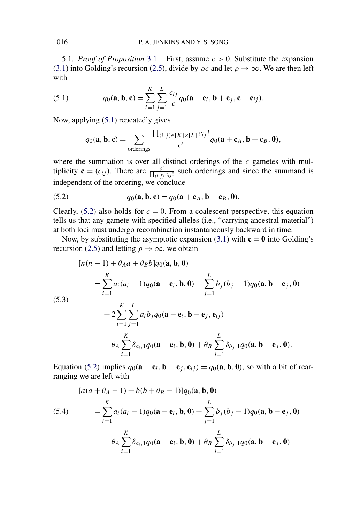<span id="page-11-0"></span>5.1. *Proof of Proposition* [3.1.](#page-7-0) First, assume *c >* 0. Substitute the expansion [\(3.1\)](#page-6-0) into Golding's recursion [\(2.5\)](#page-5-0), divide by  $\rho c$  and let  $\rho \to \infty$ . We are then left with

(5.1) 
$$
q_0(\mathbf{a}, \mathbf{b}, \mathbf{c}) = \sum_{i=1}^K \sum_{j=1}^L \frac{c_{ij}}{c} q_0(\mathbf{a} + \mathbf{e}_i, \mathbf{b} + \mathbf{e}_j, \mathbf{c} - \mathbf{e}_{ij}).
$$

Now, applying (5.1) repeatedly gives

$$
q_0(\mathbf{a}, \mathbf{b}, \mathbf{c}) = \sum_{\text{ordering } s} \frac{\prod_{(i,j) \in [K] \times [L]} c_{ij}!}{c!} q_0(\mathbf{a} + \mathbf{c}_A, \mathbf{b} + \mathbf{c}_B, \mathbf{0}),
$$

where the summation is over all distinct orderings of the *c* gametes with multiplicity  $\mathbf{c} = (c_{ij})$ . There are  $\frac{c!}{\prod_{(i,j)} c_{ij}!}$  such orderings and since the summand is independent of the ordering, we conclude

(5.2) 
$$
q_0(\mathbf{a}, \mathbf{b}, \mathbf{c}) = q_0(\mathbf{a} + \mathbf{c}_A, \mathbf{b} + \mathbf{c}_B, \mathbf{0}).
$$

Clearly,  $(5.2)$  also holds for  $c = 0$ . From a coalescent perspective, this equation tells us that any gamete with specified alleles (i.e., "carrying ancestral material") at both loci must undergo recombination instantaneously backward in time.

Now, by substituting the asymptotic expansion [\(3.1\)](#page-6-0) with  $\mathbf{c} = \mathbf{0}$  into Golding's recursion [\(2.5\)](#page-5-0) and letting  $\rho \to \infty$ , we obtain

(5.3)  
\n
$$
[n(n-1) + \theta_A a + \theta_B b]q_0(\mathbf{a}, \mathbf{b}, \mathbf{0})
$$
\n
$$
= \sum_{i=1}^K a_i (a_i - 1)q_0(\mathbf{a} - \mathbf{e}_i, \mathbf{b}, \mathbf{0}) + \sum_{j=1}^L b_j (b_j - 1)q_0(\mathbf{a}, \mathbf{b} - \mathbf{e}_j, \mathbf{0})
$$
\n
$$
+ 2 \sum_{i=1}^K \sum_{j=1}^L a_i b_j q_0(\mathbf{a} - \mathbf{e}_i, \mathbf{b} - \mathbf{e}_j, \mathbf{e}_{ij})
$$
\n
$$
+ \theta_A \sum_{i=1}^K \delta_{a_i, 1} q_0(\mathbf{a} - \mathbf{e}_i, \mathbf{b}, \mathbf{0}) + \theta_B \sum_{j=1}^L \delta_{b_j, 1} q_0(\mathbf{a}, \mathbf{b} - \mathbf{e}_j, \mathbf{0}).
$$

Equation (5.2) implies  $q_0(\mathbf{a} - \mathbf{e}_i, \mathbf{b} - \mathbf{e}_j, \mathbf{e}_{ij}) = q_0(\mathbf{a}, \mathbf{b}, \mathbf{0})$ , so with a bit of rearranging we are left with

$$
[a(a + \theta_{A} - 1) + b(b + \theta_{B} - 1)]q_{0}(\mathbf{a}, \mathbf{b}, \mathbf{0})
$$
  
(5.4)
$$
= \sum_{i=1}^{K} a_{i}(a_{i} - 1)q_{0}(\mathbf{a} - \mathbf{e}_{i}, \mathbf{b}, \mathbf{0}) + \sum_{j=1}^{L} b_{j}(b_{j} - 1)q_{0}(\mathbf{a}, \mathbf{b} - \mathbf{e}_{j}, \mathbf{0})
$$

$$
+ \theta_{A} \sum_{i=1}^{K} \delta_{a_{i}, 1} q_{0}(\mathbf{a} - \mathbf{e}_{i}, \mathbf{b}, \mathbf{0}) + \theta_{B} \sum_{j=1}^{L} \delta_{b_{j}, 1} q_{0}(\mathbf{a}, \mathbf{b} - \mathbf{e}_{j}, \mathbf{0})
$$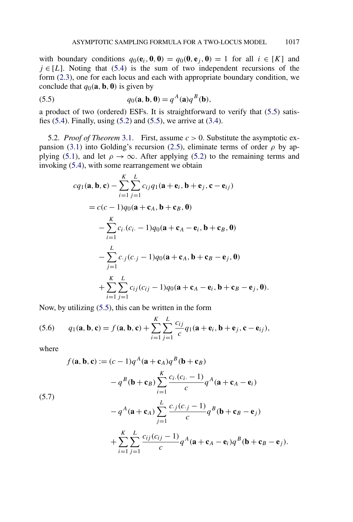<span id="page-12-0"></span>with boundary conditions  $q_0(\mathbf{e}_i, \mathbf{0}, \mathbf{0}) = q_0(\mathbf{0}, \mathbf{e}_i, \mathbf{0}) = 1$  for all  $i \in [K]$  and  $j \in [L]$ . Noting that [\(5.4\)](#page-11-0) is the sum of two independent recursions of the form [\(2.3\)](#page-4-0), one for each locus and each with appropriate boundary condition, we conclude that  $q_0$  $(\mathbf{a}, \mathbf{b}, \mathbf{0})$  is given by

(5.5) 
$$
q_0(\mathbf{a}, \mathbf{b}, 0) = q^A(\mathbf{a})q^B(\mathbf{b}),
$$

a product of two (ordered) ESFs. It is straightforward to verify that (5.5) satisfies [\(5.4\)](#page-11-0). Finally, using [\(5.2\)](#page-11-0) and (5.5), we arrive at [\(3.4\)](#page-7-0).

5.2. *Proof of Theorem* [3.1.](#page-8-0) First, assume *c >* 0. Substitute the asymptotic ex-pansion [\(3.1\)](#page-6-0) into Golding's recursion [\(2.5\)](#page-5-0), eliminate terms of order  $\rho$  by ap-plying [\(5.1\)](#page-11-0), and let  $\rho \rightarrow \infty$ . After applying [\(5.2\)](#page-11-0) to the remaining terms and invoking [\(5.4\)](#page-11-0), with some rearrangement we obtain

$$
cq_{1}(\mathbf{a}, \mathbf{b}, \mathbf{c}) - \sum_{i=1}^{K} \sum_{j=1}^{L} c_{ij}q_{1}(\mathbf{a} + \mathbf{e}_{i}, \mathbf{b} + \mathbf{e}_{j}, \mathbf{c} - \mathbf{e}_{ij})
$$
  
=  $c(c - 1)q_{0}(\mathbf{a} + \mathbf{c}_{A}, \mathbf{b} + \mathbf{c}_{B}, \mathbf{0})$   

$$
- \sum_{i=1}^{K} c_{i}.(c_{i}. - 1)q_{0}(\mathbf{a} + \mathbf{c}_{A} - \mathbf{e}_{i}, \mathbf{b} + \mathbf{c}_{B}, \mathbf{0})
$$
  

$$
- \sum_{j=1}^{L} c_{.j}(c_{.j} - 1)q_{0}(\mathbf{a} + \mathbf{c}_{A}, \mathbf{b} + \mathbf{c}_{B} - \mathbf{e}_{j}, \mathbf{0})
$$
  

$$
+ \sum_{i=1}^{K} \sum_{j=1}^{L} c_{ij}(c_{ij} - 1)q_{0}(\mathbf{a} + \mathbf{c}_{A} - \mathbf{e}_{i}, \mathbf{b} + \mathbf{c}_{B} - \mathbf{e}_{j}, \mathbf{0}).
$$

Now, by utilizing (5.5), this can be written in the form

(5.6) 
$$
q_1(\mathbf{a}, \mathbf{b}, \mathbf{c}) = f(\mathbf{a}, \mathbf{b}, \mathbf{c}) + \sum_{i=1}^{K} \sum_{j=1}^{L} \frac{c_{ij}}{c} q_1(\mathbf{a} + \mathbf{e}_i, \mathbf{b} + \mathbf{e}_j, \mathbf{c} - \mathbf{e}_{ij}),
$$

where

(5.7)  
\n
$$
f(\mathbf{a}, \mathbf{b}, \mathbf{c}) := (c - 1)q^A(\mathbf{a} + \mathbf{c}_A)q^B(\mathbf{b} + \mathbf{c}_B)
$$
\n
$$
-q^B(\mathbf{b} + \mathbf{c}_B) \sum_{i=1}^K \frac{c_i(c_i - 1)}{c} q^A(\mathbf{a} + \mathbf{c}_A - \mathbf{e}_i)
$$
\n
$$
-q^A(\mathbf{a} + \mathbf{c}_A) \sum_{j=1}^L \frac{c_j(c_j - 1)}{c} q^B(\mathbf{b} + \mathbf{c}_B - \mathbf{e}_j)
$$
\n
$$
+ \sum_{i=1}^K \sum_{j=1}^L \frac{c_{ij}(c_{ij} - 1)}{c} q^A(\mathbf{a} + \mathbf{c}_A - \mathbf{e}_i)q^B(\mathbf{b} + \mathbf{c}_B - \mathbf{e}_j).
$$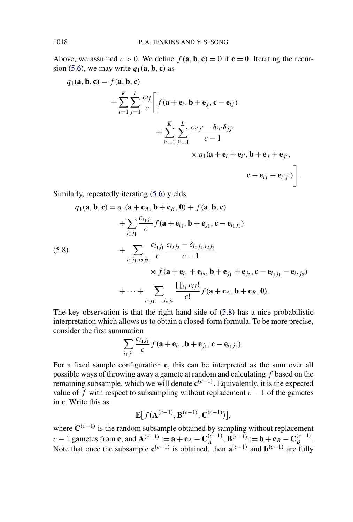<span id="page-13-0"></span>Above, we assumed  $c > 0$ . We define  $f(\mathbf{a}, \mathbf{b}, \mathbf{c}) = 0$  if  $\mathbf{c} = \mathbf{0}$ . Iterating the recur-sion [\(5.6\)](#page-12-0), we may write  $q_1$ (**a**, **b**, **c**) as

$$
q_1(\mathbf{a}, \mathbf{b}, \mathbf{c}) = f(\mathbf{a}, \mathbf{b}, \mathbf{c})
$$
  
+ 
$$
\sum_{i=1}^{K} \sum_{j=1}^{L} \frac{c_{ij}}{c} \Bigg[ f(\mathbf{a} + \mathbf{e}_i, \mathbf{b} + \mathbf{e}_j, \mathbf{c} - \mathbf{e}_{ij})
$$
  
+ 
$$
\sum_{i'=1}^{K} \sum_{j'=1}^{L} \frac{c_{i'j'} - \delta_{ii'} \delta_{jj'}}{c - 1}
$$
  
× 
$$
q_1(\mathbf{a} + \mathbf{e}_i + \mathbf{e}_{i'}, \mathbf{b} + \mathbf{e}_j + \mathbf{e}_{j'},
$$
  

$$
\mathbf{c} - \mathbf{e}_{ij} - \mathbf{e}_{i'j'}) \Bigg].
$$

Similarly, repeatedly iterating [\(5.6\)](#page-12-0) yields

(5.8)  
\n
$$
q_{1}(\mathbf{a}, \mathbf{b}, \mathbf{c}) = q_{1}(\mathbf{a} + \mathbf{c}_{A}, \mathbf{b} + \mathbf{c}_{B}, \mathbf{0}) + f(\mathbf{a}, \mathbf{b}, \mathbf{c})
$$
\n
$$
+ \sum_{i_{1}j_{1}} \frac{c_{i_{1}j_{1}}}{c} f(\mathbf{a} + \mathbf{e}_{i_{1}}, \mathbf{b} + \mathbf{e}_{j_{1}}, \mathbf{c} - \mathbf{e}_{i_{1}j_{1}})
$$
\n
$$
+ \sum_{i_{1}j_{1},i_{2}j_{2}} \frac{c_{i_{1}j_{1}}}{c} \frac{c_{i_{2}j_{2}} - \delta_{i_{1}j_{1},i_{2}j_{2}}}{c - 1}
$$
\n
$$
\times f(\mathbf{a} + \mathbf{e}_{i_{1}} + \mathbf{e}_{i_{2}}, \mathbf{b} + \mathbf{e}_{j_{1}} + \mathbf{e}_{j_{2}}, \mathbf{c} - \mathbf{e}_{i_{1}j_{1}} - \mathbf{e}_{i_{2}j_{2}})
$$
\n
$$
+ \cdots + \sum_{i_{1}j_{1},...,i_{c}j_{c}} \frac{\prod_{ij} c_{ij}!}{c!} f(\mathbf{a} + \mathbf{c}_{A}, \mathbf{b} + \mathbf{c}_{B}, \mathbf{0}).
$$

The key observation is that the right-hand side of (5.8) has a nice probabilistic interpretation which allows us to obtain a closed-form formula. To be more precise, consider the first summation

$$
\sum_{i_1j_1}\frac{c_{i_1j_1}}{c}f(\mathbf{a}+\mathbf{e}_{i_1},\mathbf{b}+\mathbf{e}_{j_1},\mathbf{c}-\mathbf{e}_{i_1j_1}).
$$

For a fixed sample configuration **c**, this can be interpreted as the sum over all possible ways of throwing away a gamete at random and calculating *f* based on the remaining subsample, which we will denote  $\mathbf{c}^{(c-1)}$ . Equivalently, it is the expected value of *f* with respect to subsampling without replacement  $c - 1$  of the gametes in **c**. Write this as

$$
\mathbb{E}[f(\mathbf{A}^{(c-1)}, \mathbf{B}^{(c-1)}, \mathbf{C}^{(c-1)})],
$$

where  $C^{(c-1)}$  is the random subsample obtained by sampling without replacement  $c-1$  gametes from **c**, and  $A^{(c-1)} := a + c_A - C_A^{(c-1)}$ ,  $B^{(c-1)} := b + c_B - C_B^{(c-1)}$ . Note that once the subsample  $\mathbf{c}^{(c-1)}$  is obtained, then  $\mathbf{a}^{(c-1)}$  and  $\mathbf{b}^{(c-1)}$  are fully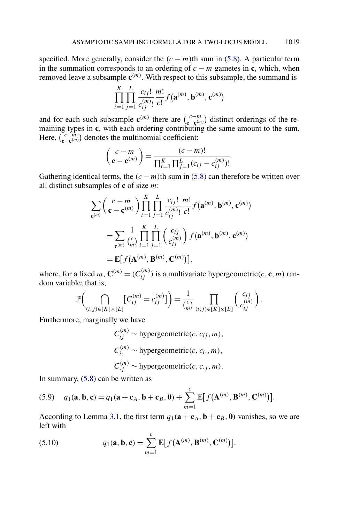<span id="page-14-0"></span>specified. More generally, consider the  $(c - m)$ th sum in [\(5.8\)](#page-13-0). A particular term in the summation corresponds to an ordering of  $c - m$  gametes in **c**, which, when removed leave a subsample  $\mathbf{c}^{(m)}$ . With respect to this subsample, the summand is

$$
\prod_{i=1}^{K} \prod_{j=1}^{L} \frac{c_{ij}!}{c_{ij}^{(m)}!} \frac{m!}{c!} f(\mathbf{a}^{(m)}, \mathbf{b}^{(m)}, \mathbf{c}^{(m)})
$$

and for each such subsample  $\mathbf{c}^{(m)}$  there are  $\begin{pmatrix} c-m \\ c-\mathbf{c}^{(m)} \end{pmatrix}$  distinct orderings of the remaining types in **c**, with each ordering contributing the same amount to the sum. Here,  $\begin{pmatrix} c - m \\ c - c^{(m)} \end{pmatrix}$  denotes the multinomial coefficient:

$$
\begin{pmatrix} c-m \\ \mathbf{c}-\mathbf{c}^{(m)} \end{pmatrix} = \frac{(c-m)!}{\prod_{i=1}^{K} \prod_{j=1}^{L} (c_{ij} - c_{ij}^{(m)})!}.
$$

Gathering identical terms, the  $(c - m)$ th sum in [\(5.8\)](#page-13-0) can therefore be written over all distinct subsamples of **c** of size *m*:

$$
\sum_{\mathbf{c}^{(m)}} \binom{c-m}{\mathbf{c}-\mathbf{c}^{(m)}} \prod_{i=1}^K \prod_{j=1}^L \frac{c_{ij}!}{c_{ij}^{(m)}!} \frac{m!}{c!} f(\mathbf{a}^{(m)}, \mathbf{b}^{(m)}, \mathbf{c}^{(m)})
$$
\n
$$
= \sum_{\mathbf{c}^{(m)}} \frac{1}{\binom{c}{m}} \prod_{i=1}^K \prod_{j=1}^L \binom{c_{ij}}{c_{ij}^{(m)}} f(\mathbf{a}^{(m)}, \mathbf{b}^{(m)}, \mathbf{c}^{(m)})
$$
\n
$$
= \mathbb{E}[f(\mathbf{A}^{(m)}, \mathbf{B}^{(m)}, \mathbf{C}^{(m)})],
$$

where, for a fixed *m*,  $\mathbf{C}^{(m)} = (C_{ij}^{(m)})$  is a multivariate hypergeometric(*c*, **c**, *m*) random variable; that is,

$$
\mathbb{P}\bigg(\bigcap_{(i,j)\in[K]\times[L]} \big[C_{ij}^{(m)}=c_{ij}^{(m)}\big]\bigg)=\frac{1}{\binom{c}{m}}\prod_{(i,j)\in[K]\times[L]} \binom{c_{ij}}{c_{ij}^{(m)}}.
$$

Furthermore, marginally we have

$$
C_{ij}^{(m)} \sim \text{hypergeometric}(c, c_{ij}, m),
$$
  
\n
$$
C_{i}^{(m)} \sim \text{hypergeometric}(c, c_{i\cdot}, m),
$$
  
\n
$$
C_{\cdot j}^{(m)} \sim \text{hypergeometric}(c, c_{\cdot j}, m).
$$

In summary, [\(5.8\)](#page-13-0) can be written as

(5.9) 
$$
q_1(\mathbf{a}, \mathbf{b}, \mathbf{c}) = q_1(\mathbf{a} + \mathbf{c}_A, \mathbf{b} + \mathbf{c}_B, \mathbf{0}) + \sum_{m=1}^{c} \mathbb{E}[f(\mathbf{A}^{(m)}, \mathbf{B}^{(m)}, \mathbf{C}^{(m)})].
$$

According to Lemma [3.1,](#page-7-0) the first term  $q_1(\mathbf{a} + \mathbf{c}_A, \mathbf{b} + \mathbf{c}_B, \mathbf{0})$  vanishes, so we are left with

(5.10) 
$$
q_1(\mathbf{a}, \mathbf{b}, \mathbf{c}) = \sum_{m=1}^{c} \mathbb{E}[f(\mathbf{A}^{(m)}, \mathbf{B}^{(m)}, \mathbf{C}^{(m)})].
$$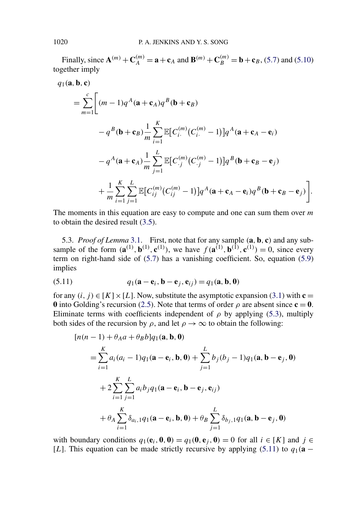<span id="page-15-0"></span>Finally, since  $A^{(m)} + C_A^{(m)} = a + c_A$  and  $B^{(m)} + C_B^{(m)} = b + c_B$ , [\(5.7\)](#page-12-0) and [\(5.10\)](#page-14-0) together imply

$$
q_1(\mathbf{a}, \mathbf{b}, \mathbf{c})
$$
  
= 
$$
\sum_{m=1}^{c} \left[ (m-1)q^A(\mathbf{a} + \mathbf{c}_A)q^B(\mathbf{b} + \mathbf{c}_B) - q^B(\mathbf{b} + \mathbf{c}_B) \mathbf{c}_B \right]
$$

$$
- q^B(\mathbf{b} + \mathbf{c}_B) \frac{1}{m} \sum_{i=1}^{K} \mathbb{E} [C_i^{(m)}(C_i^{(m)} - 1)] q^A(\mathbf{a} + \mathbf{c}_A - \mathbf{e}_i)
$$

$$
- q^A(\mathbf{a} + \mathbf{c}_A) \frac{1}{m} \sum_{j=1}^{L} \mathbb{E} [C_{.j}^{(m)}(C_{.j}^{(m)} - 1)] q^B(\mathbf{b} + \mathbf{c}_B - \mathbf{e}_j)
$$

$$
+ \frac{1}{m} \sum_{i=1}^{K} \sum_{j=1}^{L} \mathbb{E} [C_{ij}^{(m)}(C_{ij}^{(m)} - 1)] q^A(\mathbf{a} + \mathbf{c}_A - \mathbf{e}_i) q^B(\mathbf{b} + \mathbf{c}_B - \mathbf{e}_j)].
$$

The moments in this equation are easy to compute and one can sum them over *m* to obtain the desired result [\(3.5\)](#page-8-0).

5.3. *Proof of Lemma* [3.1.](#page-7-0) First, note that for any sample *(***a***,* **b***,* **c***)* and any subsample of the form  $(\mathbf{a}^{(1)}, \mathbf{b}^{(1)}, \mathbf{c}^{(1)})$ , we have  $f(\mathbf{a}^{(1)}, \mathbf{b}^{(1)}, \mathbf{c}^{(1)}) = 0$ , since every term on right-hand side of [\(5.7\)](#page-12-0) has a vanishing coefficient. So, equation [\(5.9\)](#page-14-0) implies

(5.11) 
$$
q_1(\mathbf{a} - \mathbf{e}_i, \mathbf{b} - \mathbf{e}_j, \mathbf{e}_{ij}) = q_1(\mathbf{a}, \mathbf{b}, \mathbf{0})
$$

for any  $(i, j) \in [K] \times [L]$ . Now, substitute the asymptotic expansion [\(3.1\)](#page-6-0) with  $c =$ **0** into Golding's recursion [\(2.5\)](#page-5-0). Note that terms of order  $\rho$  are absent since  $\mathbf{c} = \mathbf{0}$ . Eliminate terms with coefficients independent of  $\rho$  by applying [\(5.3\)](#page-11-0), multiply both sides of the recursion by  $\rho$ , and let  $\rho \to \infty$  to obtain the following:

$$
[n(n-1) + \theta_A a + \theta_B b]q_1(\mathbf{a}, \mathbf{b}, \mathbf{0})
$$
  
=  $\sum_{i=1}^{K} a_i (a_i - 1)q_1(\mathbf{a} - \mathbf{e}_i, \mathbf{b}, \mathbf{0}) + \sum_{j=1}^{L} b_j (b_j - 1)q_1(\mathbf{a}, \mathbf{b} - \mathbf{e}_j, \mathbf{0})$   
+  $2 \sum_{i=1}^{K} \sum_{j=1}^{L} a_i b_j q_1(\mathbf{a} - \mathbf{e}_i, \mathbf{b} - \mathbf{e}_j, \mathbf{e}_i)$   
+  $\theta_A \sum_{i=1}^{K} \delta_{a_i, 1} q_1(\mathbf{a} - \mathbf{e}_i, \mathbf{b}, \mathbf{0}) + \theta_B \sum_{j=1}^{L} \delta_{b_j, 1} q_1(\mathbf{a}, \mathbf{b} - \mathbf{e}_j, \mathbf{0})$ 

with boundary conditions  $q_1(\mathbf{e}_i, \mathbf{0}, \mathbf{0}) = q_1(\mathbf{0}, \mathbf{e}_i, \mathbf{0}) = 0$  for all  $i \in [K]$  and  $j \in$ [*L*]. This equation can be made strictly recursive by applying (5.11) to  $q_1(\mathbf{a} - \mathbf{b})$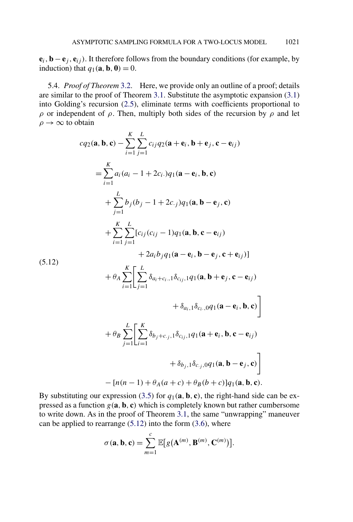<span id="page-16-0"></span> $\mathbf{e}_i$ ,  $\mathbf{b} - \mathbf{e}_j$ ,  $\mathbf{e}_{ij}$ ). It therefore follows from the boundary conditions (for example, by induction) that  $q_1(\mathbf{a}, \mathbf{b}, \mathbf{0}) = 0$ .

5.4. *Proof of Theorem* [3.2.](#page-8-0) Here, we provide only an outline of a proof; details are similar to the proof of Theorem [3.1.](#page-8-0) Substitute the asymptotic expansion [\(3.1\)](#page-6-0) into Golding's recursion [\(2.5\)](#page-5-0), eliminate terms with coefficients proportional to *ρ* or independent of *ρ*. Then, multiply both sides of the recursion by *ρ* and let  $\rho \rightarrow \infty$  to obtain

$$
cq_{2}(\mathbf{a}, \mathbf{b}, \mathbf{c}) - \sum_{i=1}^{K} \sum_{j=1}^{L} c_{ij}q_{2}(\mathbf{a} + \mathbf{e}_{i}, \mathbf{b} + \mathbf{e}_{j}, \mathbf{c} - \mathbf{e}_{ij})
$$
\n
$$
= \sum_{i=1}^{K} a_{i}(a_{i} - 1 + 2c_{i})q_{1}(\mathbf{a} - \mathbf{e}_{i}, \mathbf{b}, \mathbf{c})
$$
\n
$$
+ \sum_{j=1}^{L} b_{j}(b_{j} - 1 + 2c_{j})q_{1}(\mathbf{a}, \mathbf{b} - \mathbf{e}_{j}, \mathbf{c})
$$
\n
$$
+ \sum_{i=1}^{K} \sum_{j=1}^{L} [c_{ij}(c_{ij} - 1)q_{1}(\mathbf{a}, \mathbf{b}, \mathbf{c} - \mathbf{e}_{ij})
$$
\n
$$
+ 2a_{i}b_{j}q_{1}(\mathbf{a} - \mathbf{e}_{i}, \mathbf{b} - \mathbf{e}_{j}, \mathbf{c} + \mathbf{e}_{ij})]
$$
\n(5.12)\n
$$
+ \theta_{A} \sum_{i=1}^{K} \left[ \sum_{j=1}^{L} \delta_{a_{i} + c_{i}, 1} \delta_{c_{i} + 1} q_{1}(\mathbf{a}, \mathbf{b} + \mathbf{e}_{j}, \mathbf{c} - \mathbf{e}_{ij})
$$
\n
$$
+ \delta_{a_{i}, 1} \delta_{c_{i}, 0} q_{1}(\mathbf{a} - \mathbf{e}_{i}, \mathbf{b}, \mathbf{c}) \right]
$$
\n
$$
+ \theta_{B} \sum_{j=1}^{L} \left[ \sum_{i=1}^{K} \delta_{b_{j} + c_{j}, 1} \delta_{c_{i} + 1} q_{1}(\mathbf{a} + \mathbf{e}_{i}, \mathbf{b}, \mathbf{c} - \mathbf{e}_{ij})
$$
\n
$$
+ \delta_{b_{j}, 1} \delta_{c_{j}, 0} q_{1}(\mathbf{a}, \mathbf{b} - \mathbf{e}_{j}, \mathbf{c}) \right]
$$
\n
$$
- [n(n-1) + \theta_{A}(a + c) + \theta_{B}(
$$

By substituting our expression [\(3.5\)](#page-8-0) for  $q_1$ (**a**, **b**, **c**), the right-hand side can be expressed as a function  $g(\mathbf{a}, \mathbf{b}, \mathbf{c})$  which is completely known but rather cumbersome to write down. As in the proof of Theorem [3.1,](#page-8-0) the same "unwrapping" maneuver can be applied to rearrange  $(5.12)$  into the form  $(3.6)$ , where

$$
\sigma(\mathbf{a}, \mathbf{b}, \mathbf{c}) = \sum_{m=1}^{c} \mathbb{E}[g(\mathbf{A}^{(m)}, \mathbf{B}^{(m)}, \mathbf{C}^{(m)})].
$$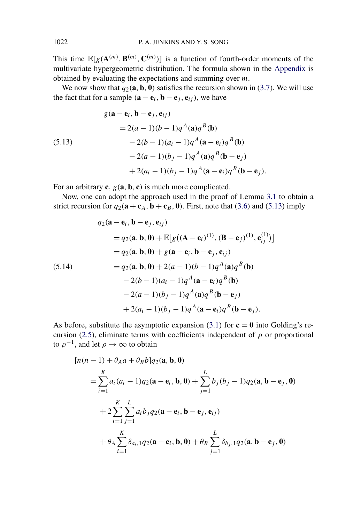This time  $\mathbb{E}[g(\mathbf{A}^{(m)}, \mathbf{B}^{(m)}, \mathbf{C}^{(m)})]$  is a function of fourth-order moments of the multivariate hypergeometric distribution. The formula shown in the [Appendix](#page-20-0) is obtained by evaluating the expectations and summing over *m*.

We now show that  $q_2(\mathbf{a}, \mathbf{b}, \mathbf{0})$  satisfies the recursion shown in [\(3.7\)](#page-8-0). We will use the fact that for a sample  $(\mathbf{a} - \mathbf{e}_i, \mathbf{b} - \mathbf{e}_j, \mathbf{e}_{ij})$ , we have

(5.13)  
\n
$$
g(\mathbf{a} - \mathbf{e}_i, \mathbf{b} - \mathbf{e}_j, \mathbf{e}_{ij})
$$
\n
$$
= 2(a - 1)(b - 1)q^A(\mathbf{a})q^B(\mathbf{b})
$$
\n
$$
- 2(b - 1)(a_i - 1)q^A(\mathbf{a} - \mathbf{e}_i)q^B(\mathbf{b})
$$
\n
$$
- 2(a - 1)(b_j - 1)q^A(\mathbf{a})q^B(\mathbf{b} - \mathbf{e}_j)
$$
\n
$$
+ 2(a_i - 1)(b_j - 1)q^A(\mathbf{a} - \mathbf{e}_i)q^B(\mathbf{b} - \mathbf{e}_j).
$$

For an arbitrary **c**,  $g(\mathbf{a}, \mathbf{b}, \mathbf{c})$  is much more complicated.

Now, one can adopt the approach used in the proof of Lemma [3.1](#page-7-0) to obtain a strict recursion for  $q_2(\mathbf{a} + \mathbf{c}_A, \mathbf{b} + \mathbf{c}_B, \mathbf{0})$ . First, note that [\(3.6\)](#page-8-0) and (5.13) imply

(5.14)  
\n
$$
q_2(\mathbf{a} - \mathbf{e}_i, \mathbf{b} - \mathbf{e}_j, \mathbf{e}_{ij})
$$
\n
$$
= q_2(\mathbf{a}, \mathbf{b}, \mathbf{0}) + \mathbb{E}[g((\mathbf{A} - \mathbf{e}_i)^{(1)}, (\mathbf{B} - \mathbf{e}_j)^{(1)}, \mathbf{e}_{ij}^{(1)})]
$$
\n
$$
= q_2(\mathbf{a}, \mathbf{b}, \mathbf{0}) + g(\mathbf{a} - \mathbf{e}_i, \mathbf{b} - \mathbf{e}_j, \mathbf{e}_{ij})
$$
\n
$$
= q_2(\mathbf{a}, \mathbf{b}, \mathbf{0}) + 2(a - 1)(b - 1)q^A(\mathbf{a})q^B(\mathbf{b})
$$
\n
$$
- 2(b - 1)(a_i - 1)q^A(\mathbf{a} - \mathbf{e}_i)q^B(\mathbf{b})
$$
\n
$$
- 2(a - 1)(b_j - 1)q^A(\mathbf{a})q^B(\mathbf{b} - \mathbf{e}_j)
$$
\n
$$
+ 2(a_i - 1)(b_j - 1)q^A(\mathbf{a} - \mathbf{e}_i)q^B(\mathbf{b} - \mathbf{e}_j).
$$

As before, substitute the asymptotic expansion [\(3.1\)](#page-6-0) for  $\mathbf{c} = \mathbf{0}$  into Golding's re-cursion [\(2.5\)](#page-5-0), eliminate terms with coefficients independent of  $\rho$  or proportional to  $\rho^{-1}$ , and let  $\rho \to \infty$  to obtain

$$
[n(n-1) + \theta_A a + \theta_B b] q_2(\mathbf{a}, \mathbf{b}, \mathbf{0})
$$
  
=  $\sum_{i=1}^K a_i (a_i - 1) q_2(\mathbf{a} - \mathbf{e}_i, \mathbf{b}, \mathbf{0}) + \sum_{j=1}^L b_j (b_j - 1) q_2(\mathbf{a}, \mathbf{b} - \mathbf{e}_j, \mathbf{0})$   
+  $2 \sum_{i=1}^K \sum_{j=1}^L a_i b_j q_2(\mathbf{a} - \mathbf{e}_i, \mathbf{b} - \mathbf{e}_j, \mathbf{e}_{ij})$   
+  $\theta_A \sum_{i=1}^K \delta_{a_i, 1} q_2(\mathbf{a} - \mathbf{e}_i, \mathbf{b}, \mathbf{0}) + \theta_B \sum_{j=1}^L \delta_{b_j, 1} q_2(\mathbf{a}, \mathbf{b} - \mathbf{e}_j, \mathbf{0})$ 

<span id="page-17-0"></span>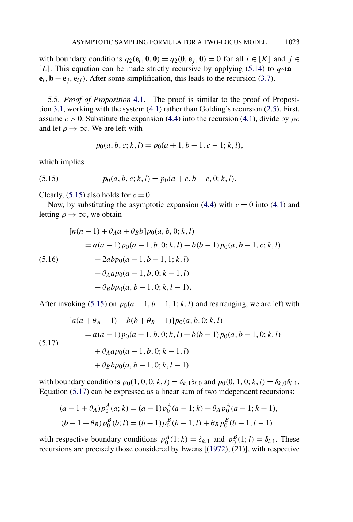<span id="page-18-0"></span>with boundary conditions  $q_2(\mathbf{e}_i, \mathbf{0}, \mathbf{0}) = q_2(\mathbf{0}, \mathbf{e}_i, \mathbf{0}) = 0$  for all  $i \in [K]$  and  $j \in$ [*L*]. This equation can be made strictly recursive by applying [\(5.14\)](#page-17-0) to  $q_2(\mathbf{a} - \mathbf{b})$  $\mathbf{e}_i$ ,  $\mathbf{b} - \mathbf{e}_j$ ,  $\mathbf{e}_{ij}$ ). After some simplification, this leads to the recursion [\(3.7\)](#page-8-0).

5.5. *Proof of Proposition* [4.1.](#page-10-0) The proof is similar to the proof of Proposition [3.1,](#page-7-0) working with the system [\(4.1\)](#page-9-0) rather than Golding's recursion [\(2.5\)](#page-5-0). First, assume  $c > 0$ . Substitute the expansion [\(4.4\)](#page-10-0) into the recursion [\(4.1\)](#page-9-0), divide by  $\rho c$ and let  $\rho \rightarrow \infty$ . We are left with

$$
p_0(a, b, c; k, l) = p_0(a + 1, b + 1, c - 1; k, l),
$$

which implies

(5.15) 
$$
p_0(a, b, c; k, l) = p_0(a + c, b + c, 0; k, l).
$$

Clearly,  $(5.15)$  also holds for  $c = 0$ .

Now, by substituting the asymptotic expansion [\(4.4\)](#page-10-0) with  $c = 0$  into [\(4.1\)](#page-9-0) and letting  $\rho \rightarrow \infty$ , we obtain

$$
[n(n-1) + \theta_A a + \theta_B b] p_0(a, b, 0; k, l)
$$
  
=  $a(a-1)p_0(a-1, b, 0; k, l) + b(b-1)p_0(a, b-1, c; k, l)$   
+  $2ab p_0(a-1, b-1, 1; k, l)$   
+  $\theta_A a p_0(a-1, b, 0; k-1, l)$   
+  $\theta_B b p_0(a, b-1, 0; k, l-1)$ .

After invoking (5.15) on  $p_0(a-1, b-1, 1; k, l)$  and rearranging, we are left with

$$
[a(a + \theta_A - 1) + b(b + \theta_B - 1)]p_0(a, b, 0; k, l)
$$
  
=  $a(a - 1)p_0(a - 1, b, 0; k, l) + b(b - 1)p_0(a, b - 1, 0; k, l)$   
+  $\theta_A ap_0(a - 1, b, 0; k - 1, l)$   
+  $\theta_B bp_0(a, b - 1, 0; k, l - 1)$ 

with boundary conditions  $p_0(1, 0, 0; k, l) = \delta_{k,1} \delta_{l,0}$  and  $p_0(0, 1, 0; k, l) = \delta_{k,0} \delta_{l,1}$ . Equation (5.17) can be expressed as a linear sum of two independent recursions:

$$
(a-1+\theta_A)p_0^A(a;k) = (a-1)p_0^A(a-1;k) + \theta_A p_0^A(a-1;k-1),
$$
  

$$
(b-1+\theta_B)p_0^B(b;l) = (b-1)p_0^B(b-1;l) + \theta_B p_0^B(b-1;l-1)
$$

with respective boundary conditions  $p_0^A(1; k) = \delta_{k,1}$  and  $p_0^B(1; l) = \delta_{l,1}$ . These recursions are precisely those considered by Ewens [[\(1972\)](#page-22-0), (21)], with respective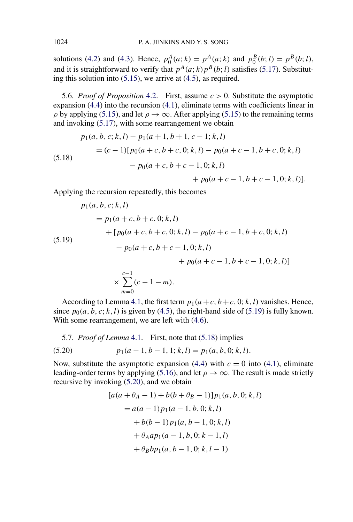<span id="page-19-0"></span>solutions [\(4.2\)](#page-10-0) and [\(4.3\)](#page-10-0). Hence,  $p_0^A(a; k) = p^A(a; k)$  and  $p_0^B(b; l) = p^B(b; l)$ , and it is straightforward to verify that  $p^{A}(a; k)p^{B}(b; l)$  satisfies [\(5.17\)](#page-18-0). Substituting this solution into [\(5.15\)](#page-18-0), we arrive at [\(4.5\)](#page-10-0), as required.

5.6. *Proof of Proposition* [4.2.](#page-10-0) First, assume *c >* 0. Substitute the asymptotic expansion [\(4.4\)](#page-10-0) into the recursion [\(4.1\)](#page-9-0), eliminate terms with coefficients linear in  $\rho$  by applying [\(5.15\)](#page-18-0), and let  $\rho \to \infty$ . After applying (5.15) to the remaining terms and invoking [\(5.17\)](#page-18-0), with some rearrangement we obtain

(5.18)  
\n
$$
p_1(a, b, c; k, l) - p_1(a + 1, b + 1, c - 1; k, l)
$$
\n
$$
= (c - 1)[p_0(a + c, b + c, 0; k, l) - p_0(a + c - 1, b + c, 0; k, l)
$$
\n
$$
- p_0(a + c, b + c - 1, 0; k, l)
$$
\n
$$
+ p_0(a + c - 1, b + c - 1, 0; k, l)].
$$

Applying the recursion repeatedly, this becomes

$$
p_1(a, b, c; k, l)
$$
  
=  $p_1(a + c, b + c, 0; k, l)$   
+  $[p_0(a + c, b + c, 0; k, l) - p_0(a + c - 1, b + c, 0; k, l)$   
-  $p_0(a + c, b + c - 1, 0; k, l)$   
+  $p_0(a + c - 1, b + c - 1, 0; k, l)$   
 $\times \sum_{m=0}^{c-1} (c - 1 - m).$ 

According to Lemma [4.1,](#page-10-0) the first term  $p_1(a+c, b+c, 0; k, l)$  vanishes. Hence, since  $p_0(a, b, c; k, l)$  is given by [\(4.5\)](#page-10-0), the right-hand side of (5.19) is fully known. With some rearrangement, we are left with  $(4.6)$ .

5.7. *Proof of Lemma* [4.1.](#page-10-0) First, note that (5.18) implies

(5.20) 
$$
p_1(a-1,b-1,1;k,l) = p_1(a,b,0;k,l).
$$

Now, substitute the asymptotic expansion [\(4.4\)](#page-10-0) with  $c = 0$  into [\(4.1\)](#page-9-0), eliminate leading-order terms by applying [\(5.16\)](#page-18-0), and let  $\rho \rightarrow \infty$ . The result is made strictly recursive by invoking (5.20), and we obtain

$$
[a(a + \theta_A - 1) + b(b + \theta_B - 1)]p_1(a, b, 0; k, l)
$$
  
=  $a(a - 1)p_1(a - 1, b, 0; k, l)$   
+  $b(b - 1)p_1(a, b - 1, 0; k, l)$   
+  $\theta_A ap_1(a - 1, b, 0; k - 1, l)$   
+  $\theta_B bp_1(a, b - 1, 0; k, l - 1)$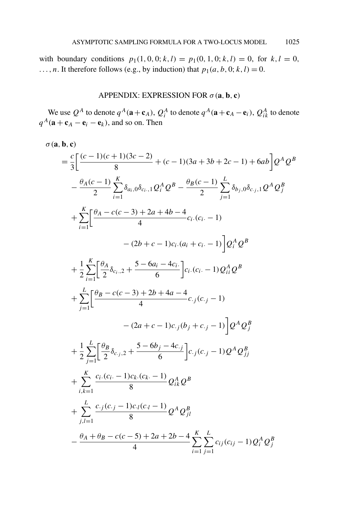<span id="page-20-0"></span>with boundary conditions  $p_1(1, 0, 0; k, l) = p_1(0, 1, 0; k, l) = 0$ , for  $k, l = 0$ ,  $\ldots$ , *n*. It therefore follows (e.g., by induction) that  $p_1(a, b, 0; k, l) = 0$ .

## APPENDIX: EXPRESSION FOR  $\sigma$  (**a**, **b**, **c**)

We use  $Q^A$  to denote  $q^A(\mathbf{a}+\mathbf{c}_A)$ ,  $Q^A_i$  to denote  $q^A(\mathbf{a}+\mathbf{c}_A-\mathbf{e}_i)$ ,  $Q^A_{ik}$  to denote  $q^A(\mathbf{a} + \mathbf{c}_A - \mathbf{e}_i - \mathbf{e}_k)$ , and so on. Then

$$
\sigma(\mathbf{a}, \mathbf{b}, \mathbf{c})
$$
\n
$$
= \frac{c}{3} \Big[ \frac{(c-1)(c+1)(3c-2)}{8} + (c-1)(3a+3b+2c-1) + 6ab \Big] Q^A Q^B
$$
\n
$$
- \frac{\theta_A(c-1)}{2} \sum_{i=1}^K \delta_{a_i,0} \delta_{c_i,1} Q_i^A Q^B - \frac{\theta_B(c-1)}{2} \sum_{j=1}^L \delta_{b_j,0} \delta_{c_j,1} Q^A Q_j^B
$$
\n
$$
+ \sum_{i=1}^K \Big[ \frac{\theta_A - c(c-3) + 2a + 4b - 4}{4} c_i (c_i - 1) - (2b + c - 1)c_i (a_i + c_i - 1) \Big] Q_i^A Q^B
$$
\n
$$
+ \frac{1}{2} \sum_{i=1}^K \Big[ \frac{\theta_A}{2} \delta_{c_i,2} + \frac{5 - 6a_i - 4c_i}{6} \Big] c_i (c_i - 1) Q_{ii}^A Q^B
$$
\n
$$
+ \sum_{j=1}^L \Big[ \frac{\theta_B - c(c-3) + 2b + 4a - 4}{4} c_j (c_j - 1) - (2a + c - 1)c_j (b_j + c_j - 1) \Big] Q^A Q_j^B
$$
\n
$$
+ \frac{1}{2} \sum_{j=1}^L \Big[ \frac{\theta_B}{2} \delta_{c_j,2} + \frac{5 - 6b_j - 4c_j}{6} \Big] c_j (c_j - 1) Q^A Q_j^B
$$
\n
$$
+ \sum_{i,k=1}^K \frac{c_i (c_i - 1)c_k (c_k - 1)}{8} Q_k^A Q^B
$$
\n
$$
+ \sum_{j,l=1}^L \frac{c_j (c_j - 1)c_l (c_l - 1)}{8} Q^A Q_{jl}^B
$$
\n
$$
- \frac{\theta_A + \theta_B - c(c-5) + 2a + 2b - 4}{4} \sum_{i=1}^K \sum_{j=1}^L c_{ij} (c_{ij} - 1) Q_i^A Q_j^B
$$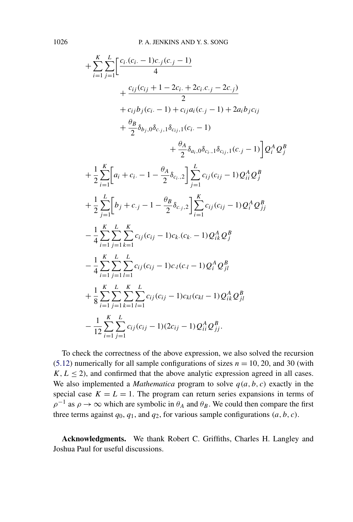$$
+\sum_{i=1}^{K} \sum_{j=1}^{L} \left[ \frac{c_i (c_i - 1)c_{.j}(c_{.j} - 1)}{4} + \frac{c_{ij}(c_{ij} + 1 - 2c_i + 2c_i.c_{.j} - 2c_{.j})}{2} + c_{ij}b_j(c_i - 1) + c_{ij}a_i(c_{.j} - 1) + 2a_ib_jc_{ij} + \frac{\theta_B}{2}\delta_{b_j,0}\delta_{c_j,1}\delta_{cj_1,1}(c_i - 1) + \frac{\theta_A}{2}\delta_{a_i,0}\delta_{c_i,1}\delta_{cj_1,1}(c_{.j} - 1) \right]Q_i^A Q_j^B
$$

$$
+\frac{1}{2}\sum_{i=1}^{K} \left[a_i + c_i - 1 - \frac{\theta_A}{2}\delta_{c_i,2}\right] \sum_{j=1}^{L} c_{ij}(c_{ij} - 1)Q_{ii}^A Q_j^B
$$

$$
+\frac{1}{2}\sum_{j=1}^{L} \left[b_j + c_{.j} - 1 - \frac{\theta_B}{2}\delta_{c_j,2}\right] \sum_{i=1}^{K} c_{ij}(c_{ij} - 1)Q_i^A Q_{jj}^B
$$

$$
-\frac{1}{4}\sum_{i=1}^{K} \sum_{j=1}^{L} \sum_{k=1}^{K} c_{ij}(c_{ij} - 1)c_k(c_k - 1)Q_{ik}^A Q_j^B
$$

$$
-\frac{1}{4}\sum_{i=1}^{K} \sum_{j=1}^{L} \sum_{l=1}^{L} c_{ij}(c_{ij} - 1)c_i(c_l - 1)Q_i^A Q_j^B
$$

$$
+\frac{1}{8}\sum_{i=1}^{K} \sum_{j=1}^{L} \sum_{k=1}^{K} \sum_{l=1}^{L} c_{ij}(c_{ij} - 1)c_{kl}(c_{kl} - 1)Q_{ik}^A Q_j^B
$$

$$
-\frac{1}{12}\sum_{i=1}^{K} \sum_{j=1}^{L} c_{ij}(c_{ij} - 1)(2c_{ij} - 1)Q_{ii}^A Q_j^B.
$$

To check the correctness of the above expression, we also solved the recursion [\(5.12\)](#page-16-0) numerically for all sample configurations of sizes  $n = 10, 20$ , and 30 (with  $K, L \leq 2$ ), and confirmed that the above analytic expression agreed in all cases. We also implemented a *Mathematica* program to solve  $q(a, b, c)$  exactly in the special case  $K = L = 1$ . The program can return series expansions in terms of  $\rho^{-1}$  as  $\rho \to \infty$  which are symbolic in  $\theta_A$  and  $\theta_B$ . We could then compare the first three terms against  $q_0$ ,  $q_1$ , and  $q_2$ , for various sample configurations  $(a, b, c)$ .

**Acknowledgments.** We thank Robert C. Griffiths, Charles H. Langley and Joshua Paul for useful discussions.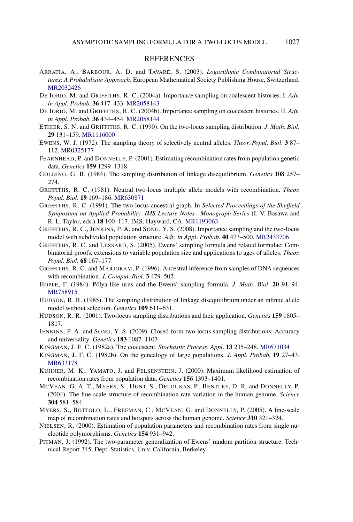## **REFERENCES**

- <span id="page-22-0"></span>ARRATIA, A., BARBOUR, A. D. and TAVARÉ, S. (2003). *Logarithmic Combinatorial Structures*: *A Probabilistic Approach*. European Mathematical Society Publishing House, Switzerland. [MR2032426](http://www.ams.org/mathscinet-getitem?mr=2032426)
- DE IORIO, M. and GRIFFITHS, R. C. (2004a). Importance sampling on coalescent histories. I. *Adv*. *in Appl*. *Probab*. **36** 417–433. [MR2058143](http://www.ams.org/mathscinet-getitem?mr=2058143)
- DE IORIO, M. and GRIFFITHS, R. C. (2004b). Importance sampling on coalescent histories. II. *Adv*. *in Appl*. *Probab*. **36** 434–454. [MR2058144](http://www.ams.org/mathscinet-getitem?mr=2058144)
- ETHIER, S. N. and GRIFFITHS, R. C. (1990). On the two-locus sampling distribution. *J*. *Math*. *Biol*. **29** 131–159. [MR1116000](http://www.ams.org/mathscinet-getitem?mr=1116000)
- EWENS, W. J. (1972). The sampling theory of selectively neutral alleles. *Theor*. *Popul*. *Biol*. **3** 87– 112. [MR0325177](http://www.ams.org/mathscinet-getitem?mr=0325177)
- FEARNHEAD, P. and DONNELLY, P. (2001). Estimating recombination rates from population genetic data. *Genetics* **159** 1299–1318.
- GOLDING, G. B. (1984). The sampling distribution of linkage disequilibrium. *Genetics* **108** 257– 274.
- GRIFFITHS, R. C. (1981). Neutral two-locus multiple allele models with recombination. *Theor*. *Popul*. *Biol*. **19** 169–186. [MR630871](http://www.ams.org/mathscinet-getitem?mr=630871)
- GRIFFITHS, R. C. (1991). The two-locus ancestral graph. In *Selected Proceedings of the Sheffield Symposium on Applied Probability*. *IMS Lecture Notes—Monograph Series* (I. V. Basawa and R. L. Taylor, eds.) **18** 100–117. IMS, Hayward, CA. [MR1193063](http://www.ams.org/mathscinet-getitem?mr=1193063)
- GRIFFITHS, R. C., JENKINS, P. A. and SONG, Y. S. (2008). Importance sampling and the two-locus model with subdivided population structure. *Adv*. *in Appl*. *Probab*. **40** 473–500. [MR2433706](http://www.ams.org/mathscinet-getitem?mr=2433706)
- GRIFFITHS, R. C. and LESSARD, S. (2005). Ewens' sampling formula and related formulae: Combinatorial proofs, extensions to variable population size and applications to ages of alleles. *Theor*. *Popul*. *Biol*. **68** 167–177.
- GRIFFITHS, R. C. and MARJORAM, P. (1996). Ancestral inference from samples of DNA sequences with recombination. *J*. *Comput*. *Biol*. **3** 479–502.
- HOPPE, F. (1984). Pólya-like urns and the Ewens' sampling formula. *J*. *Math*. *Biol*. **20** 91–94. [MR758915](http://www.ams.org/mathscinet-getitem?mr=758915)
- HUDSON, R. R. (1985). The sampling distribution of linkage disequilibrium under an infinite allele model without selection. *Genetics* **109** 611–631.
- HUDSON, R. R. (2001). Two-locus sampling distributions and their application. *Genetics* **159** 1805– 1817.
- JENKINS, P. A. and SONG, Y. S. (2009). Closed-form two-locus sampling distributions: Accuracy and universality. *Genetics* **183** 1087–1103.
- KINGMAN, J. F. C. (1982a). The coalescent. *Stochastic Process*. *Appl*. **13** 235–248. [MR671034](http://www.ams.org/mathscinet-getitem?mr=671034)
- KINGMAN, J. F. C. (1982b). On the genealogy of large populations. *J*. *Appl*. *Probab*. **19** 27–43. [MR633178](http://www.ams.org/mathscinet-getitem?mr=633178)
- KUHNER, M. K., YAMATO, J. and FELSENSTEIN, J. (2000). Maximum likelihood estimation of recombination rates from population data. *Genetics* **156** 1393–1401.
- MCVEAN, G. A. T., MYERS, S., HUNT, S., DELOUKAS, P., BENTLEY, D. R. and DONNELLY, P. (2004). The fine-scale structure of recombination rate variation in the human genome. *Science* **304** 581–584.
- MYERS, S., BOTTOLO, L., FREEMAN, C., MCVEAN, G. and DONNELLY, P. (2005). A fine-scale map of recombination rates and hotspots across the human genome. *Science* **310** 321–324.
- NIELSEN, R. (2000). Estimation of population parameters and recombination rates from single nucleotide polymorphisms. *Genetics* **154** 931–942.
- PITMAN, J. (1992). The two-parameter generalization of Ewens' random partition structure. Technical Report 345, Dept. Statistics, Univ. California, Berkeley.